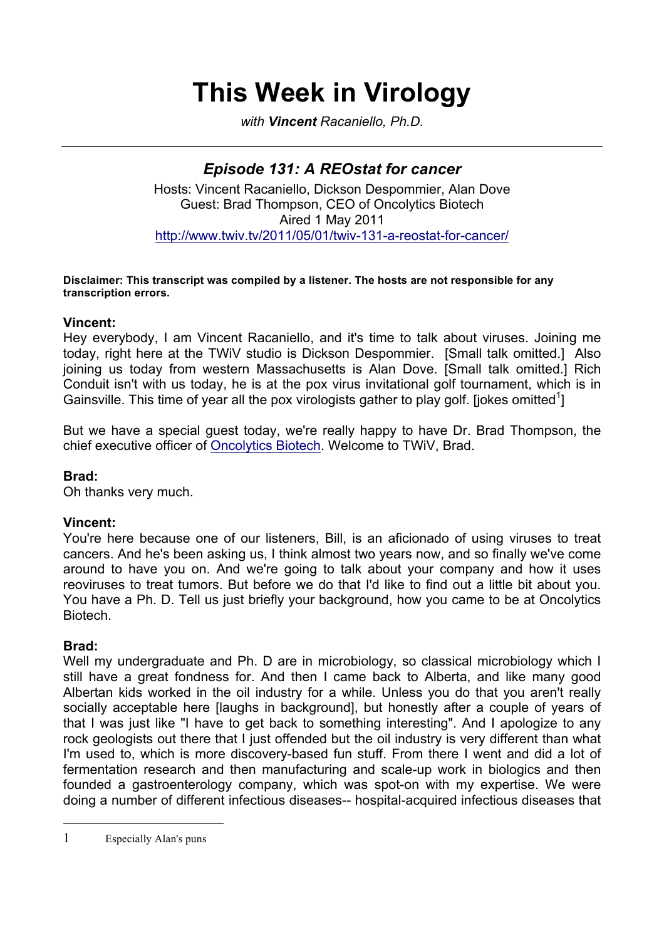# **This Week in Virology**

*with Vincent Racaniello, Ph.D.*

## *Episode 131: A REOstat for cancer* Hosts: Vincent Racaniello, Dickson Despommier, Alan Dove Guest: Brad Thompson, CEO of Oncolytics Biotech

Aired 1 May 2011

http://www.twiv.tv/2011/05/01/twiv-131-a-reostat-for-cancer/

#### **Disclaimer: This transcript was compiled by a listener. The hosts are not responsible for any transcription errors.**

## **Vincent:**

Hey everybody, I am Vincent Racaniello, and it's time to talk about viruses. Joining me today, right here at the TWiV studio is Dickson Despommier. [Small talk omitted.] Also joining us today from western Massachusetts is Alan Dove. [Small talk omitted.] Rich Conduit isn't with us today, he is at the pox virus invitational golf tournament, which is in Gainsville. This time of year all the pox virologists gather to play golf. [jokes omitted<sup>1</sup>]

But we have a special guest today, we're really happy to have Dr. Brad Thompson, the chief executive officer of Oncolytics Biotech. Welcome to TWiV, Brad.

## **Brad:**

Oh thanks very much.

## **Vincent:**

You're here because one of our listeners, Bill, is an aficionado of using viruses to treat cancers. And he's been asking us, I think almost two years now, and so finally we've come around to have you on. And we're going to talk about your company and how it uses reoviruses to treat tumors. But before we do that I'd like to find out a little bit about you. You have a Ph. D. Tell us just briefly your background, how you came to be at Oncolytics Biotech.

## **Brad:**

 $\overline{a}$ 

Well my undergraduate and Ph. D are in microbiology, so classical microbiology which I still have a great fondness for. And then I came back to Alberta, and like many good Albertan kids worked in the oil industry for a while. Unless you do that you aren't really socially acceptable here [laughs in background], but honestly after a couple of years of that I was just like "I have to get back to something interesting". And I apologize to any rock geologists out there that I just offended but the oil industry is very different than what I'm used to, which is more discovery-based fun stuff. From there I went and did a lot of fermentation research and then manufacturing and scale-up work in biologics and then founded a gastroenterology company, which was spot-on with my expertise. We were doing a number of different infectious diseases-- hospital-acquired infectious diseases that

1 Especially Alan's puns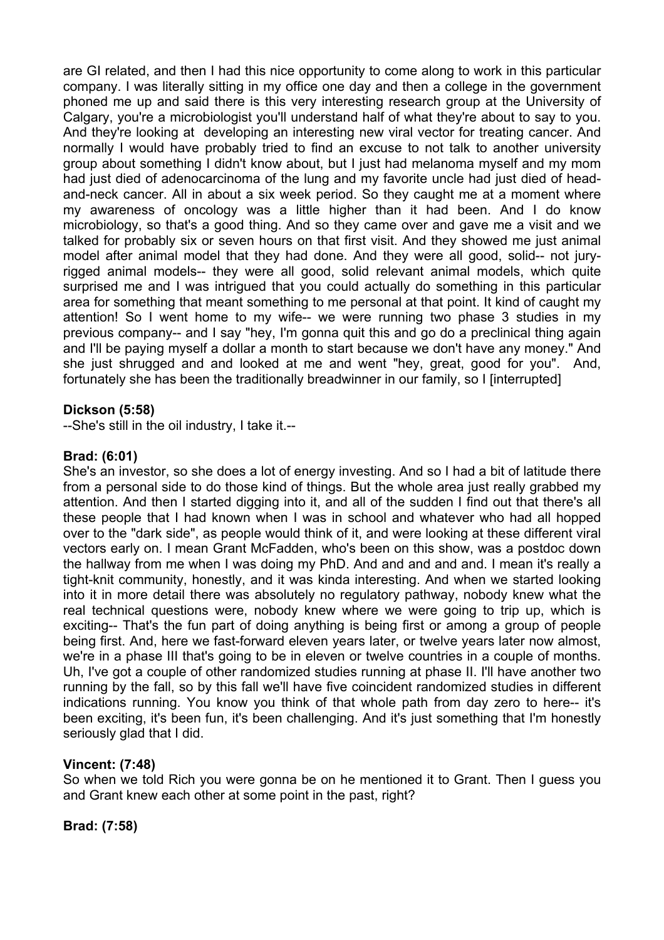are GI related, and then I had this nice opportunity to come along to work in this particular company. I was literally sitting in my office one day and then a college in the government phoned me up and said there is this very interesting research group at the University of Calgary, you're a microbiologist you'll understand half of what they're about to say to you. And they're looking at developing an interesting new viral vector for treating cancer. And normally I would have probably tried to find an excuse to not talk to another university group about something I didn't know about, but I just had melanoma myself and my mom had just died of adenocarcinoma of the lung and my favorite uncle had just died of headand-neck cancer. All in about a six week period. So they caught me at a moment where my awareness of oncology was a little higher than it had been. And I do know microbiology, so that's a good thing. And so they came over and gave me a visit and we talked for probably six or seven hours on that first visit. And they showed me just animal model after animal model that they had done. And they were all good, solid-- not juryrigged animal models-- they were all good, solid relevant animal models, which quite surprised me and I was intrigued that you could actually do something in this particular area for something that meant something to me personal at that point. It kind of caught my attention! So I went home to my wife-- we were running two phase 3 studies in my previous company-- and I say "hey, I'm gonna quit this and go do a preclinical thing again and I'll be paying myself a dollar a month to start because we don't have any money." And she just shrugged and and looked at me and went "hey, great, good for you". And, fortunately she has been the traditionally breadwinner in our family, so I [interrupted]

## **Dickson (5:58)**

--She's still in the oil industry, I take it.--

#### **Brad: (6:01)**

She's an investor, so she does a lot of energy investing. And so I had a bit of latitude there from a personal side to do those kind of things. But the whole area just really grabbed my attention. And then I started digging into it, and all of the sudden I find out that there's all these people that I had known when I was in school and whatever who had all hopped over to the "dark side", as people would think of it, and were looking at these different viral vectors early on. I mean Grant McFadden, who's been on this show, was a postdoc down the hallway from me when I was doing my PhD. And and and and and. I mean it's really a tight-knit community, honestly, and it was kinda interesting. And when we started looking into it in more detail there was absolutely no regulatory pathway, nobody knew what the real technical questions were, nobody knew where we were going to trip up, which is exciting-- That's the fun part of doing anything is being first or among a group of people being first. And, here we fast-forward eleven years later, or twelve years later now almost, we're in a phase III that's going to be in eleven or twelve countries in a couple of months. Uh, I've got a couple of other randomized studies running at phase II. I'll have another two running by the fall, so by this fall we'll have five coincident randomized studies in different indications running. You know you think of that whole path from day zero to here-- it's been exciting, it's been fun, it's been challenging. And it's just something that I'm honestly seriously glad that I did.

## **Vincent: (7:48)**

So when we told Rich you were gonna be on he mentioned it to Grant. Then I guess you and Grant knew each other at some point in the past, right?

**Brad: (7:58)**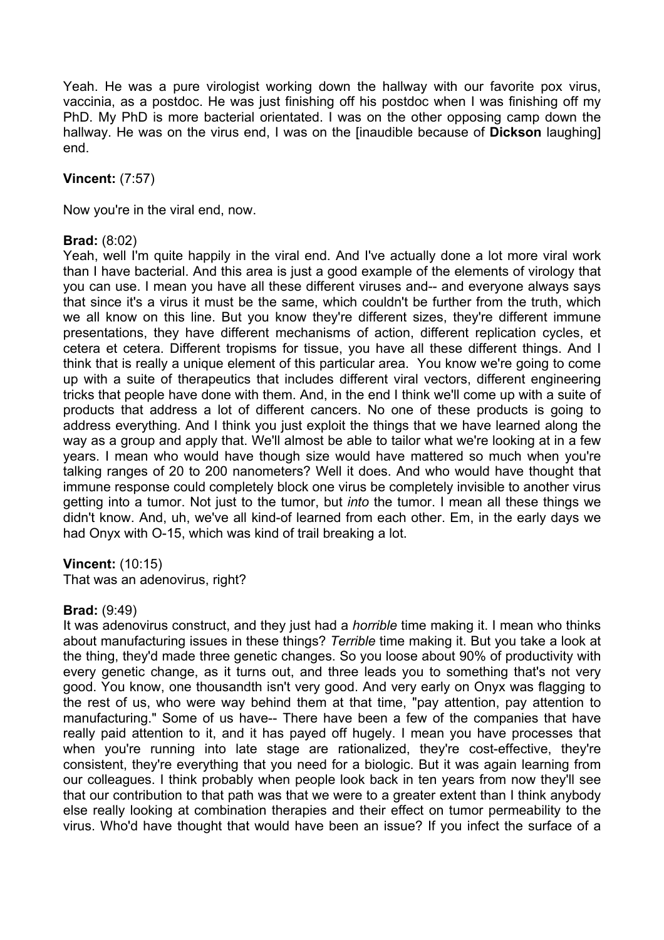Yeah. He was a pure virologist working down the hallway with our favorite pox virus, vaccinia, as a postdoc. He was just finishing off his postdoc when I was finishing off my PhD. My PhD is more bacterial orientated. I was on the other opposing camp down the hallway. He was on the virus end, I was on the [inaudible because of **Dickson** laughing] end.

## **Vincent:** (7:57)

Now you're in the viral end, now.

## **Brad:** (8:02)

Yeah, well I'm quite happily in the viral end. And I've actually done a lot more viral work than I have bacterial. And this area is just a good example of the elements of virology that you can use. I mean you have all these different viruses and-- and everyone always says that since it's a virus it must be the same, which couldn't be further from the truth, which we all know on this line. But you know they're different sizes, they're different immune presentations, they have different mechanisms of action, different replication cycles, et cetera et cetera. Different tropisms for tissue, you have all these different things. And I think that is really a unique element of this particular area. You know we're going to come up with a suite of therapeutics that includes different viral vectors, different engineering tricks that people have done with them. And, in the end I think we'll come up with a suite of products that address a lot of different cancers. No one of these products is going to address everything. And I think you just exploit the things that we have learned along the way as a group and apply that. We'll almost be able to tailor what we're looking at in a few years. I mean who would have though size would have mattered so much when you're talking ranges of 20 to 200 nanometers? Well it does. And who would have thought that immune response could completely block one virus be completely invisible to another virus getting into a tumor. Not just to the tumor, but *into* the tumor. I mean all these things we didn't know. And, uh, we've all kind-of learned from each other. Em, in the early days we had Onyx with O-15, which was kind of trail breaking a lot.

## **Vincent:** (10:15)

That was an adenovirus, right?

#### **Brad:** (9:49)

It was adenovirus construct, and they just had a *horrible* time making it. I mean who thinks about manufacturing issues in these things? *Terrible* time making it. But you take a look at the thing, they'd made three genetic changes. So you loose about 90% of productivity with every genetic change, as it turns out, and three leads you to something that's not very good. You know, one thousandth isn't very good. And very early on Onyx was flagging to the rest of us, who were way behind them at that time, "pay attention, pay attention to manufacturing." Some of us have-- There have been a few of the companies that have really paid attention to it, and it has payed off hugely. I mean you have processes that when you're running into late stage are rationalized, they're cost-effective, they're consistent, they're everything that you need for a biologic. But it was again learning from our colleagues. I think probably when people look back in ten years from now they'll see that our contribution to that path was that we were to a greater extent than I think anybody else really looking at combination therapies and their effect on tumor permeability to the virus. Who'd have thought that would have been an issue? If you infect the surface of a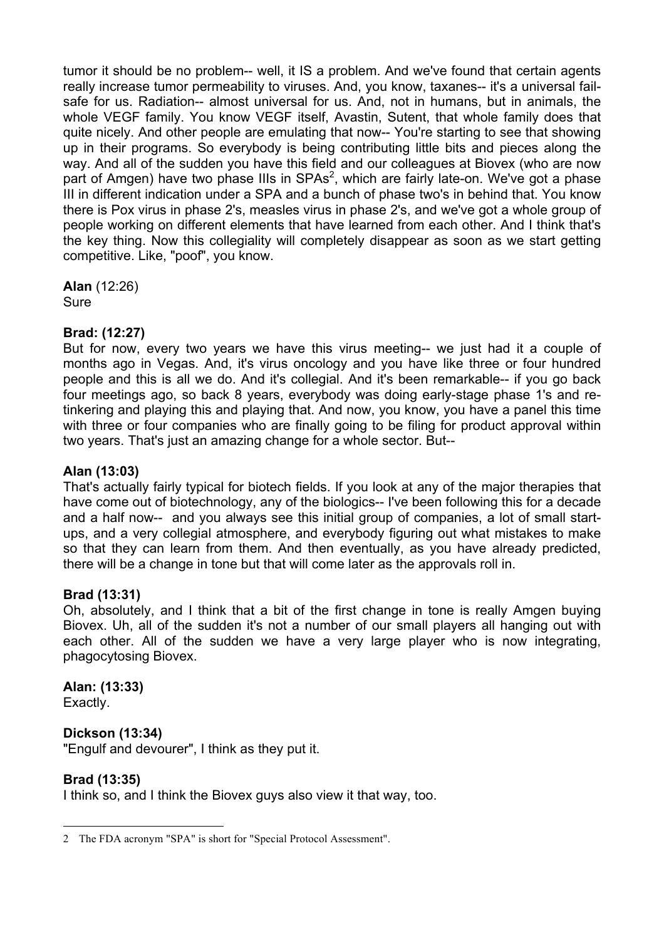tumor it should be no problem-- well, it IS a problem. And we've found that certain agents really increase tumor permeability to viruses. And, you know, taxanes-- it's a universal failsafe for us. Radiation-- almost universal for us. And, not in humans, but in animals, the whole VEGF family. You know VEGF itself, Avastin, Sutent, that whole family does that quite nicely. And other people are emulating that now-- You're starting to see that showing up in their programs. So everybody is being contributing little bits and pieces along the way. And all of the sudden you have this field and our colleagues at Biovex (who are now part of Amgen) have two phase IIIs in SPAs<sup>2</sup>, which are fairly late-on. We've got a phase III in different indication under a SPA and a bunch of phase two's in behind that. You know there is Pox virus in phase 2's, measles virus in phase 2's, and we've got a whole group of people working on different elements that have learned from each other. And I think that's the key thing. Now this collegiality will completely disappear as soon as we start getting competitive. Like, "poof", you know.

**Alan** (12:26) Sure

## **Brad: (12:27)**

But for now, every two years we have this virus meeting-- we just had it a couple of months ago in Vegas. And, it's virus oncology and you have like three or four hundred people and this is all we do. And it's collegial. And it's been remarkable-- if you go back four meetings ago, so back 8 years, everybody was doing early-stage phase 1's and retinkering and playing this and playing that. And now, you know, you have a panel this time with three or four companies who are finally going to be filing for product approval within two years. That's just an amazing change for a whole sector. But--

## **Alan (13:03)**

That's actually fairly typical for biotech fields. If you look at any of the major therapies that have come out of biotechnology, any of the biologics-- I've been following this for a decade and a half now-- and you always see this initial group of companies, a lot of small startups, and a very collegial atmosphere, and everybody figuring out what mistakes to make so that they can learn from them. And then eventually, as you have already predicted, there will be a change in tone but that will come later as the approvals roll in.

## **Brad (13:31)**

Oh, absolutely, and I think that a bit of the first change in tone is really Amgen buying Biovex. Uh, all of the sudden it's not a number of our small players all hanging out with each other. All of the sudden we have a very large player who is now integrating, phagocytosing Biovex.

## **Alan: (13:33)**

Exactly.

## **Dickson (13:34)**

"Engulf and devourer", I think as they put it.

## **Brad (13:35)**

I think so, and I think the Biovex guys also view it that way, too.

 <sup>2</sup> The FDA acronym "SPA" is short for "Special Protocol Assessment".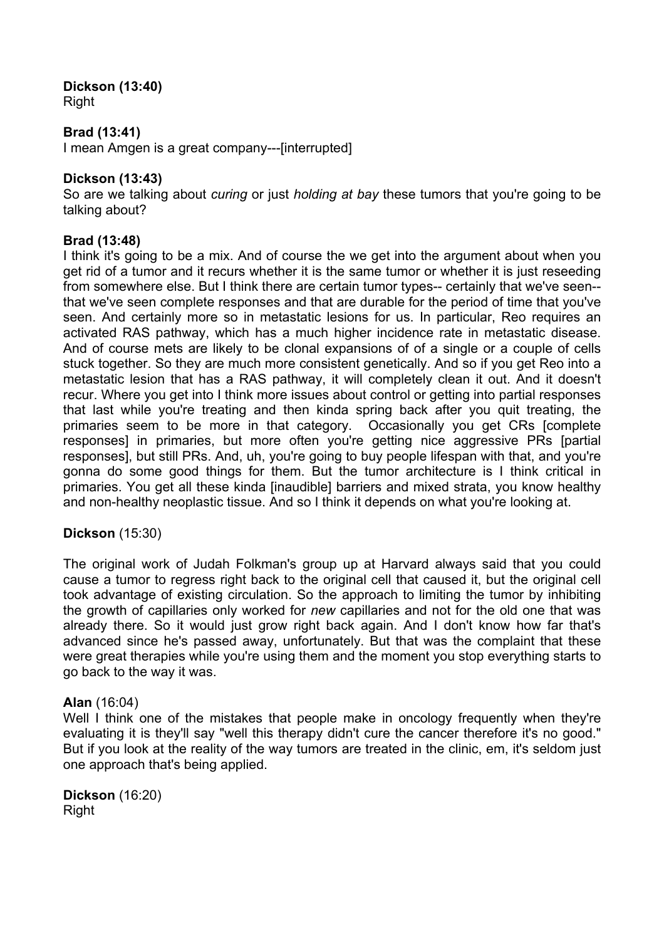# **Dickson (13:40)**

Right

## **Brad (13:41)**

I mean Amgen is a great company---[interrupted]

## **Dickson (13:43)**

So are we talking about *curing* or just *holding at bay* these tumors that you're going to be talking about?

## **Brad (13:48)**

I think it's going to be a mix. And of course the we get into the argument about when you get rid of a tumor and it recurs whether it is the same tumor or whether it is just reseeding from somewhere else. But I think there are certain tumor types-- certainly that we've seen- that we've seen complete responses and that are durable for the period of time that you've seen. And certainly more so in metastatic lesions for us. In particular, Reo requires an activated RAS pathway, which has a much higher incidence rate in metastatic disease. And of course mets are likely to be clonal expansions of of a single or a couple of cells stuck together. So they are much more consistent genetically. And so if you get Reo into a metastatic lesion that has a RAS pathway, it will completely clean it out. And it doesn't recur. Where you get into I think more issues about control or getting into partial responses that last while you're treating and then kinda spring back after you quit treating, the primaries seem to be more in that category. Occasionally you get CRs [complete responses] in primaries, but more often you're getting nice aggressive PRs [partial responses], but still PRs. And, uh, you're going to buy people lifespan with that, and you're gonna do some good things for them. But the tumor architecture is I think critical in primaries. You get all these kinda [inaudible] barriers and mixed strata, you know healthy and non-healthy neoplastic tissue. And so I think it depends on what you're looking at.

## **Dickson** (15:30)

The original work of Judah Folkman's group up at Harvard always said that you could cause a tumor to regress right back to the original cell that caused it, but the original cell took advantage of existing circulation. So the approach to limiting the tumor by inhibiting the growth of capillaries only worked for *new* capillaries and not for the old one that was already there. So it would just grow right back again. And I don't know how far that's advanced since he's passed away, unfortunately. But that was the complaint that these were great therapies while you're using them and the moment you stop everything starts to go back to the way it was.

## **Alan** (16:04)

Well I think one of the mistakes that people make in oncology frequently when they're evaluating it is they'll say "well this therapy didn't cure the cancer therefore it's no good." But if you look at the reality of the way tumors are treated in the clinic, em, it's seldom just one approach that's being applied.

**Dickson** (16:20) Right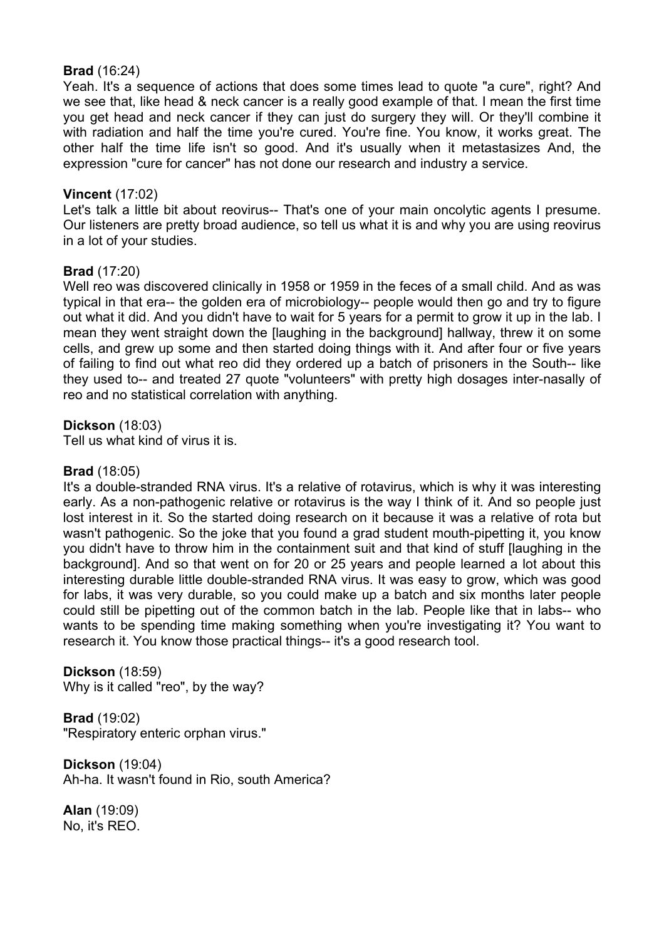## **Brad** (16:24)

Yeah. It's a sequence of actions that does some times lead to quote "a cure", right? And we see that, like head & neck cancer is a really good example of that. I mean the first time you get head and neck cancer if they can just do surgery they will. Or they'll combine it with radiation and half the time you're cured. You're fine. You know, it works great. The other half the time life isn't so good. And it's usually when it metastasizes And, the expression "cure for cancer" has not done our research and industry a service.

## **Vincent** (17:02)

Let's talk a little bit about reovirus-- That's one of your main oncolytic agents I presume. Our listeners are pretty broad audience, so tell us what it is and why you are using reovirus in a lot of your studies.

#### **Brad** (17:20)

Well reo was discovered clinically in 1958 or 1959 in the feces of a small child. And as was typical in that era-- the golden era of microbiology-- people would then go and try to figure out what it did. And you didn't have to wait for 5 years for a permit to grow it up in the lab. I mean they went straight down the [laughing in the background] hallway, threw it on some cells, and grew up some and then started doing things with it. And after four or five years of failing to find out what reo did they ordered up a batch of prisoners in the South-- like they used to-- and treated 27 quote "volunteers" with pretty high dosages inter-nasally of reo and no statistical correlation with anything.

**Dickson** (18:03)

Tell us what kind of virus it is.

#### **Brad** (18:05)

It's a double-stranded RNA virus. It's a relative of rotavirus, which is why it was interesting early. As a non-pathogenic relative or rotavirus is the way I think of it. And so people just lost interest in it. So the started doing research on it because it was a relative of rota but wasn't pathogenic. So the joke that you found a grad student mouth-pipetting it, you know you didn't have to throw him in the containment suit and that kind of stuff [laughing in the background]. And so that went on for 20 or 25 years and people learned a lot about this interesting durable little double-stranded RNA virus. It was easy to grow, which was good for labs, it was very durable, so you could make up a batch and six months later people could still be pipetting out of the common batch in the lab. People like that in labs-- who wants to be spending time making something when you're investigating it? You want to research it. You know those practical things-- it's a good research tool.

**Dickson** (18:59) Why is it called "reo", by the way?

**Brad** (19:02) "Respiratory enteric orphan virus."

**Dickson** (19:04) Ah-ha. It wasn't found in Rio, south America?

**Alan** (19:09) No, it's REO.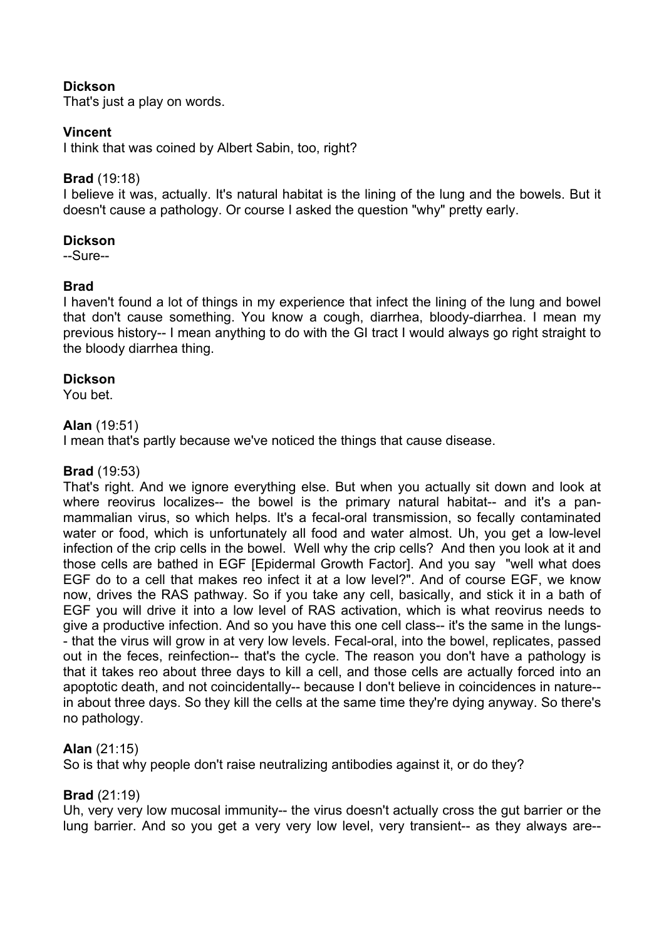## **Dickson**

That's just a play on words.

## **Vincent**

I think that was coined by Albert Sabin, too, right?

## **Brad** (19:18)

I believe it was, actually. It's natural habitat is the lining of the lung and the bowels. But it doesn't cause a pathology. Or course I asked the question "why" pretty early.

## **Dickson**

--Sure--

## **Brad**

I haven't found a lot of things in my experience that infect the lining of the lung and bowel that don't cause something. You know a cough, diarrhea, bloody-diarrhea. I mean my previous history-- I mean anything to do with the GI tract I would always go right straight to the bloody diarrhea thing.

## **Dickson**

You bet.

## **Alan** (19:51)

I mean that's partly because we've noticed the things that cause disease.

## **Brad** (19:53)

That's right. And we ignore everything else. But when you actually sit down and look at where reovirus localizes-- the bowel is the primary natural habitat-- and it's a panmammalian virus, so which helps. It's a fecal-oral transmission, so fecally contaminated water or food, which is unfortunately all food and water almost. Uh, you get a low-level infection of the crip cells in the bowel. Well why the crip cells? And then you look at it and those cells are bathed in EGF [Epidermal Growth Factor]. And you say "well what does EGF do to a cell that makes reo infect it at a low level?". And of course EGF, we know now, drives the RAS pathway. So if you take any cell, basically, and stick it in a bath of EGF you will drive it into a low level of RAS activation, which is what reovirus needs to give a productive infection. And so you have this one cell class-- it's the same in the lungs- - that the virus will grow in at very low levels. Fecal-oral, into the bowel, replicates, passed out in the feces, reinfection-- that's the cycle. The reason you don't have a pathology is that it takes reo about three days to kill a cell, and those cells are actually forced into an apoptotic death, and not coincidentally-- because I don't believe in coincidences in nature- in about three days. So they kill the cells at the same time they're dying anyway. So there's no pathology.

## **Alan** (21:15)

So is that why people don't raise neutralizing antibodies against it, or do they?

## **Brad** (21:19)

Uh, very very low mucosal immunity-- the virus doesn't actually cross the gut barrier or the lung barrier. And so you get a very very low level, very transient-- as they always are--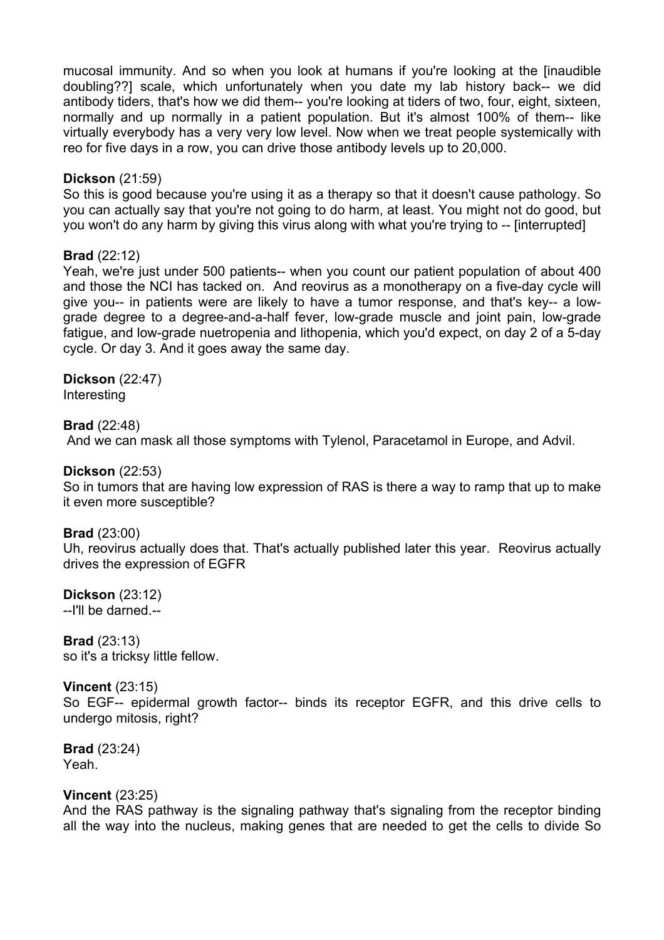mucosal immunity. And so when you look at humans if you're looking at the [inaudible doubling??] scale, which unfortunately when you date my lab history back-- we did antibody tiders, that's how we did them-- you're looking at tiders of two, four, eight, sixteen, normally and up normally in a patient population. But it's almost 100% of them-- like virtually everybody has a very very low level. Now when we treat people systemically with reo for five days in a row, you can drive those antibody levels up to 20,000.

#### **Dickson** (21:59)

So this is good because you're using it as a therapy so that it doesn't cause pathology. So you can actually say that you're not going to do harm, at least. You might not do good, but you won't do any harm by giving this virus along with what you're trying to -- [interrupted]

#### **Brad** (22:12)

Yeah, we're just under 500 patients-- when you count our patient population of about 400 and those the NCI has tacked on. And reovirus as a monotherapy on a five-day cycle will give you-- in patients were are likely to have a tumor response, and that's key-- a lowgrade degree to a degree-and-a-half fever, low-grade muscle and joint pain, low-grade fatigue, and low-grade nuetropenia and lithopenia, which you'd expect, on day 2 of a 5-day cycle. Or day 3. And it goes away the same day.

**Dickson** (22:47) Interesting

**Brad** (22:48)

And we can mask all those symptoms with Tylenol, Paracetamol in Europe, and Advil.

#### **Dickson** (22:53)

So in tumors that are having low expression of RAS is there a way to ramp that up to make it even more susceptible?

#### **Brad** (23:00)

Uh, reovirus actually does that. That's actually published later this year. Reovirus actually drives the expression of EGFR

**Dickson** (23:12) --I'll be darned.--

**Brad** (23:13) so it's a tricksy little fellow.

**Vincent** (23:15) So EGF-- epidermal growth factor-- binds its receptor EGFR, and this drive cells to undergo mitosis, right?

**Brad** (23:24) Yeah.

#### **Vincent** (23:25)

And the RAS pathway is the signaling pathway that's signaling from the receptor binding all the way into the nucleus, making genes that are needed to get the cells to divide So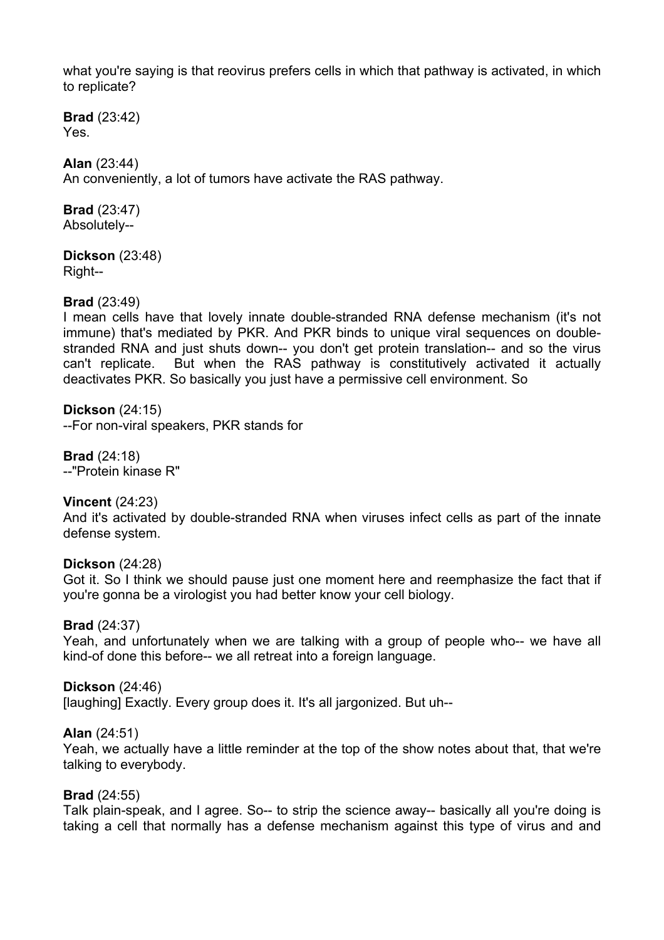what you're saying is that reovirus prefers cells in which that pathway is activated, in which to replicate?

**Brad** (23:42) Yes.

#### **Alan** (23:44)

An conveniently, a lot of tumors have activate the RAS pathway.

**Brad** (23:47) Absolutely--

**Dickson** (23:48) Right--

## **Brad** (23:49)

I mean cells have that lovely innate double-stranded RNA defense mechanism (it's not immune) that's mediated by PKR. And PKR binds to unique viral sequences on doublestranded RNA and just shuts down-- you don't get protein translation-- and so the virus can't replicate. But when the RAS pathway is constitutively activated it actually deactivates PKR. So basically you just have a permissive cell environment. So

**Dickson** (24:15) --For non-viral speakers, PKR stands for

**Brad** (24:18) --"Protein kinase R"

**Vincent** (24:23) And it's activated by double-stranded RNA when viruses infect cells as part of the innate defense system.

#### **Dickson** (24:28)

Got it. So I think we should pause just one moment here and reemphasize the fact that if you're gonna be a virologist you had better know your cell biology.

#### **Brad** (24:37)

Yeah, and unfortunately when we are talking with a group of people who-- we have all kind-of done this before-- we all retreat into a foreign language.

**Dickson** (24:46)

[laughing] Exactly. Every group does it. It's all jargonized. But uh--

**Alan** (24:51)

Yeah, we actually have a little reminder at the top of the show notes about that, that we're talking to everybody.

#### **Brad** (24:55)

Talk plain-speak, and I agree. So-- to strip the science away-- basically all you're doing is taking a cell that normally has a defense mechanism against this type of virus and and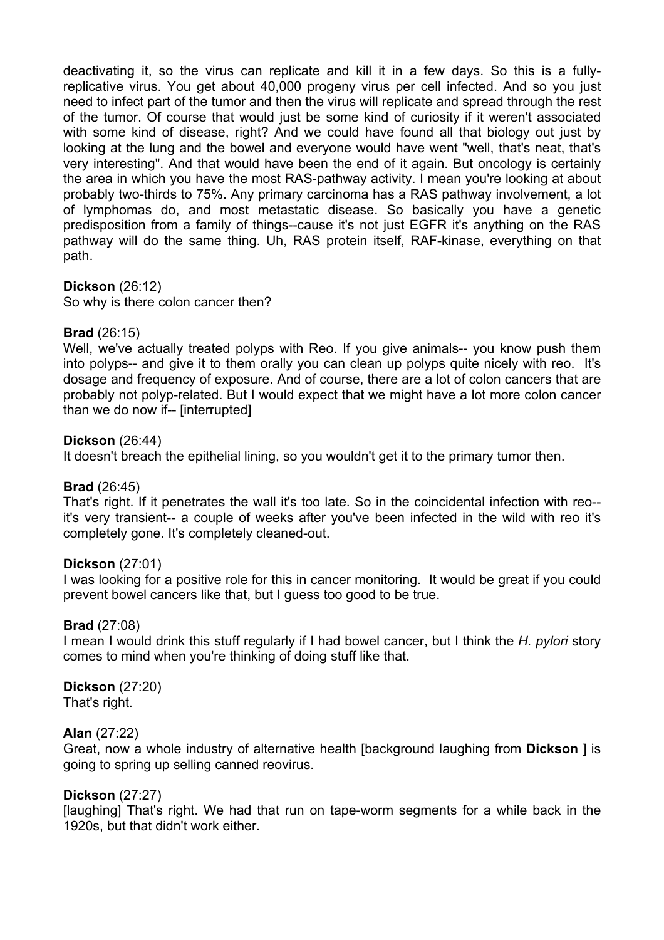deactivating it, so the virus can replicate and kill it in a few days. So this is a fullyreplicative virus. You get about 40,000 progeny virus per cell infected. And so you just need to infect part of the tumor and then the virus will replicate and spread through the rest of the tumor. Of course that would just be some kind of curiosity if it weren't associated with some kind of disease, right? And we could have found all that biology out just by looking at the lung and the bowel and everyone would have went "well, that's neat, that's very interesting". And that would have been the end of it again. But oncology is certainly the area in which you have the most RAS-pathway activity. I mean you're looking at about probably two-thirds to 75%. Any primary carcinoma has a RAS pathway involvement, a lot of lymphomas do, and most metastatic disease. So basically you have a genetic predisposition from a family of things--cause it's not just EGFR it's anything on the RAS pathway will do the same thing. Uh, RAS protein itself, RAF-kinase, everything on that path.

## **Dickson** (26:12)

So why is there colon cancer then?

## **Brad** (26:15)

Well, we've actually treated polyps with Reo. If you give animals-- you know push them into polyps-- and give it to them orally you can clean up polyps quite nicely with reo. It's dosage and frequency of exposure. And of course, there are a lot of colon cancers that are probably not polyp-related. But I would expect that we might have a lot more colon cancer than we do now if-- [interrupted]

#### **Dickson** (26:44)

It doesn't breach the epithelial lining, so you wouldn't get it to the primary tumor then.

## **Brad** (26:45)

That's right. If it penetrates the wall it's too late. So in the coincidental infection with reo- it's very transient-- a couple of weeks after you've been infected in the wild with reo it's completely gone. It's completely cleaned-out.

#### **Dickson** (27:01)

I was looking for a positive role for this in cancer monitoring. It would be great if you could prevent bowel cancers like that, but I guess too good to be true.

#### **Brad** (27:08)

I mean I would drink this stuff regularly if I had bowel cancer, but I think the *H. pylori* story comes to mind when you're thinking of doing stuff like that.

## **Dickson** (27:20)

That's right.

#### **Alan** (27:22)

Great, now a whole industry of alternative health [background laughing from **Dickson** ] is going to spring up selling canned reovirus.

#### **Dickson** (27:27)

[laughing] That's right. We had that run on tape-worm segments for a while back in the 1920s, but that didn't work either.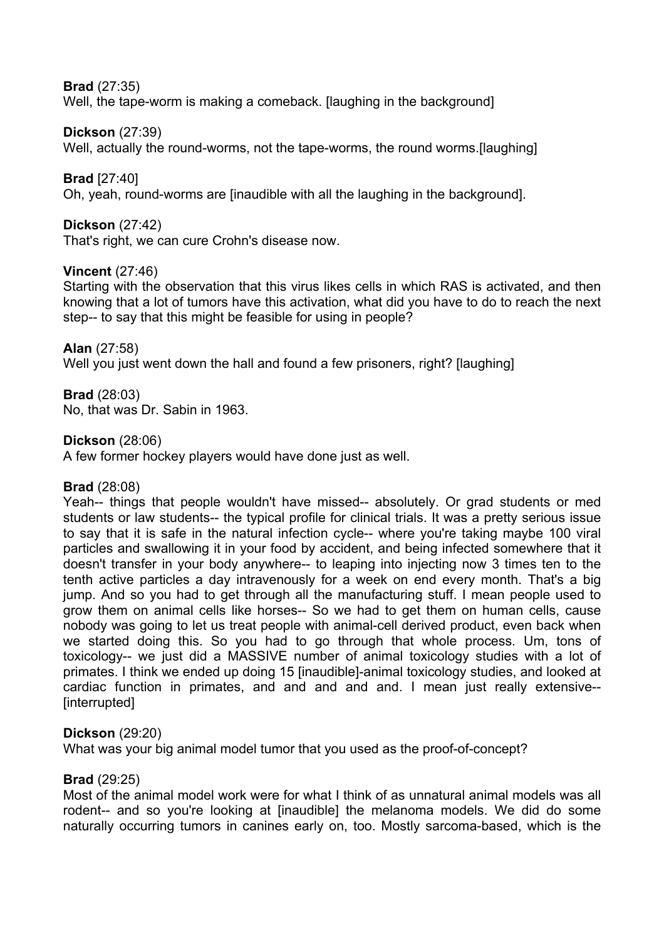## **Brad** (27:35)

Well, the tape-worm is making a comeback. [laughing in the background]

## **Dickson** (27:39)

Well, actually the round-worms, not the tape-worms, the round worms.[laughing]

## **Brad** [27:40]

Oh, yeah, round-worms are [inaudible with all the laughing in the background].

## **Dickson** (27:42)

That's right, we can cure Crohn's disease now.

## **Vincent** (27:46)

Starting with the observation that this virus likes cells in which RAS is activated, and then knowing that a lot of tumors have this activation, what did you have to do to reach the next step-- to say that this might be feasible for using in people?

## **Alan** (27:58)

Well you just went down the hall and found a few prisoners, right? [laughing]

## **Brad** (28:03)

No, that was Dr. Sabin in 1963.

## **Dickson** (28:06)

A few former hockey players would have done just as well.

## **Brad** (28:08)

Yeah-- things that people wouldn't have missed-- absolutely. Or grad students or med students or law students-- the typical profile for clinical trials. It was a pretty serious issue to say that it is safe in the natural infection cycle-- where you're taking maybe 100 viral particles and swallowing it in your food by accident, and being infected somewhere that it doesn't transfer in your body anywhere-- to leaping into injecting now 3 times ten to the tenth active particles a day intravenously for a week on end every month. That's a big jump. And so you had to get through all the manufacturing stuff. I mean people used to grow them on animal cells like horses-- So we had to get them on human cells, cause nobody was going to let us treat people with animal-cell derived product, even back when we started doing this. So you had to go through that whole process. Um, tons of toxicology-- we just did a MASSIVE number of animal toxicology studies with a lot of primates. I think we ended up doing 15 [inaudible]-animal toxicology studies, and looked at cardiac function in primates, and and and and and. I mean just really extensive-- [interrupted]

## **Dickson** (29:20)

What was your big animal model tumor that you used as the proof-of-concept?

## **Brad** (29:25)

Most of the animal model work were for what I think of as unnatural animal models was all rodent-- and so you're looking at [inaudible] the melanoma models. We did do some naturally occurring tumors in canines early on, too. Mostly sarcoma-based, which is the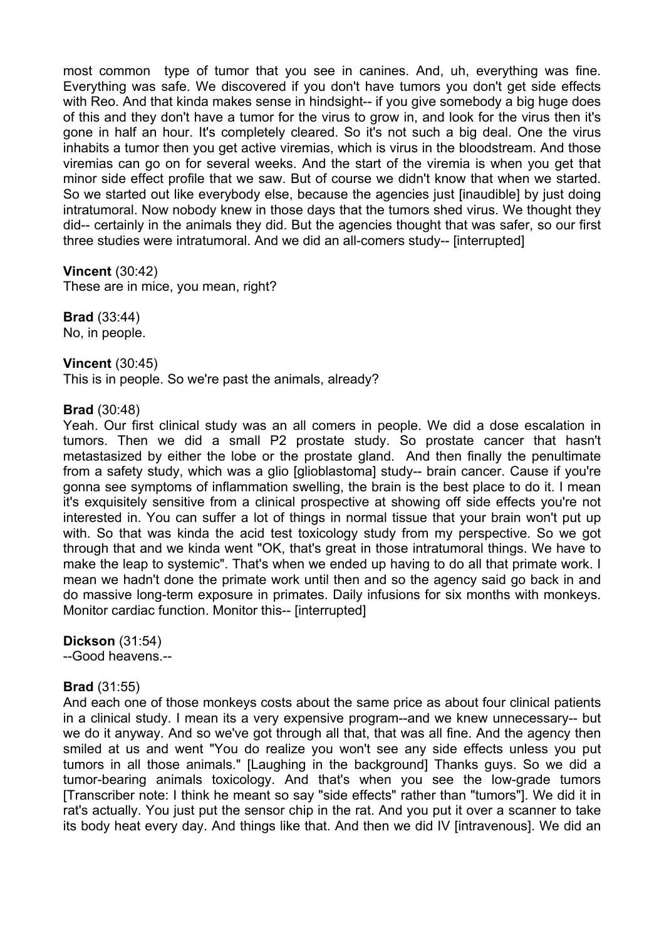most common type of tumor that you see in canines. And, uh, everything was fine. Everything was safe. We discovered if you don't have tumors you don't get side effects with Reo. And that kinda makes sense in hindsight-- if you give somebody a big huge does of this and they don't have a tumor for the virus to grow in, and look for the virus then it's gone in half an hour. It's completely cleared. So it's not such a big deal. One the virus inhabits a tumor then you get active viremias, which is virus in the bloodstream. And those viremias can go on for several weeks. And the start of the viremia is when you get that minor side effect profile that we saw. But of course we didn't know that when we started. So we started out like everybody else, because the agencies just [inaudible] by just doing intratumoral. Now nobody knew in those days that the tumors shed virus. We thought they did-- certainly in the animals they did. But the agencies thought that was safer, so our first three studies were intratumoral. And we did an all-comers study-- [interrupted]

#### **Vincent** (30:42)

These are in mice, you mean, right?

**Brad** (33:44) No, in people.

#### **Vincent** (30:45)

This is in people. So we're past the animals, already?

#### **Brad** (30:48)

Yeah. Our first clinical study was an all comers in people. We did a dose escalation in tumors. Then we did a small P2 prostate study. So prostate cancer that hasn't metastasized by either the lobe or the prostate gland. And then finally the penultimate from a safety study, which was a glio [glioblastoma] study-- brain cancer. Cause if you're gonna see symptoms of inflammation swelling, the brain is the best place to do it. I mean it's exquisitely sensitive from a clinical prospective at showing off side effects you're not interested in. You can suffer a lot of things in normal tissue that your brain won't put up with. So that was kinda the acid test toxicology study from my perspective. So we got through that and we kinda went "OK, that's great in those intratumoral things. We have to make the leap to systemic". That's when we ended up having to do all that primate work. I mean we hadn't done the primate work until then and so the agency said go back in and do massive long-term exposure in primates. Daily infusions for six months with monkeys. Monitor cardiac function. Monitor this-- [interrupted]

**Dickson** (31:54)

--Good heavens.--

## **Brad** (31:55)

And each one of those monkeys costs about the same price as about four clinical patients in a clinical study. I mean its a very expensive program--and we knew unnecessary-- but we do it anyway. And so we've got through all that, that was all fine. And the agency then smiled at us and went "You do realize you won't see any side effects unless you put tumors in all those animals." [Laughing in the background] Thanks guys. So we did a tumor-bearing animals toxicology. And that's when you see the low-grade tumors [Transcriber note: I think he meant so say "side effects" rather than "tumors"]. We did it in rat's actually. You just put the sensor chip in the rat. And you put it over a scanner to take its body heat every day. And things like that. And then we did IV lintravenousl. We did an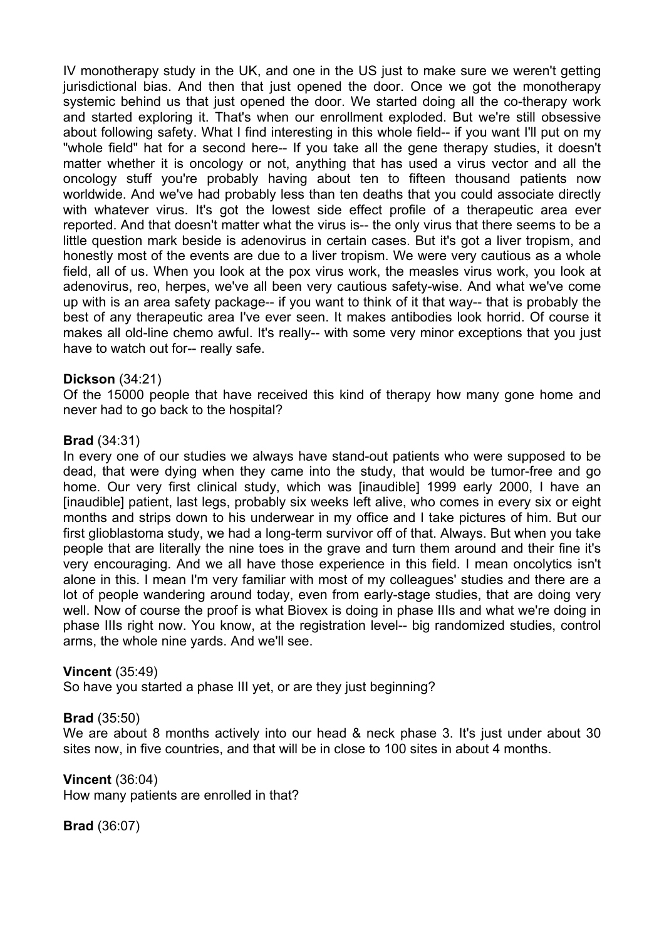IV monotherapy study in the UK, and one in the US just to make sure we weren't getting jurisdictional bias. And then that just opened the door. Once we got the monotherapy systemic behind us that just opened the door. We started doing all the co-therapy work and started exploring it. That's when our enrollment exploded. But we're still obsessive about following safety. What I find interesting in this whole field-- if you want I'll put on my "whole field" hat for a second here-- If you take all the gene therapy studies, it doesn't matter whether it is oncology or not, anything that has used a virus vector and all the oncology stuff you're probably having about ten to fifteen thousand patients now worldwide. And we've had probably less than ten deaths that you could associate directly with whatever virus. It's got the lowest side effect profile of a therapeutic area ever reported. And that doesn't matter what the virus is-- the only virus that there seems to be a little question mark beside is adenovirus in certain cases. But it's got a liver tropism, and honestly most of the events are due to a liver tropism. We were very cautious as a whole field, all of us. When you look at the pox virus work, the measles virus work, you look at adenovirus, reo, herpes, we've all been very cautious safety-wise. And what we've come up with is an area safety package-- if you want to think of it that way-- that is probably the best of any therapeutic area I've ever seen. It makes antibodies look horrid. Of course it makes all old-line chemo awful. It's really-- with some very minor exceptions that you just have to watch out for-- really safe.

#### **Dickson** (34:21)

Of the 15000 people that have received this kind of therapy how many gone home and never had to go back to the hospital?

#### **Brad** (34:31)

In every one of our studies we always have stand-out patients who were supposed to be dead, that were dying when they came into the study, that would be tumor-free and go home. Our very first clinical study, which was [inaudible] 1999 early 2000, I have an [inaudible] patient, last legs, probably six weeks left alive, who comes in every six or eight months and strips down to his underwear in my office and I take pictures of him. But our first glioblastoma study, we had a long-term survivor off of that. Always. But when you take people that are literally the nine toes in the grave and turn them around and their fine it's very encouraging. And we all have those experience in this field. I mean oncolytics isn't alone in this. I mean I'm very familiar with most of my colleagues' studies and there are a lot of people wandering around today, even from early-stage studies, that are doing very well. Now of course the proof is what Biovex is doing in phase IIIs and what we're doing in phase IIIs right now. You know, at the registration level-- big randomized studies, control arms, the whole nine yards. And we'll see.

#### **Vincent** (35:49)

So have you started a phase III yet, or are they just beginning?

#### **Brad** (35:50)

We are about 8 months actively into our head & neck phase 3. It's just under about 30 sites now, in five countries, and that will be in close to 100 sites in about 4 months.

#### **Vincent** (36:04)

How many patients are enrolled in that?

**Brad** (36:07)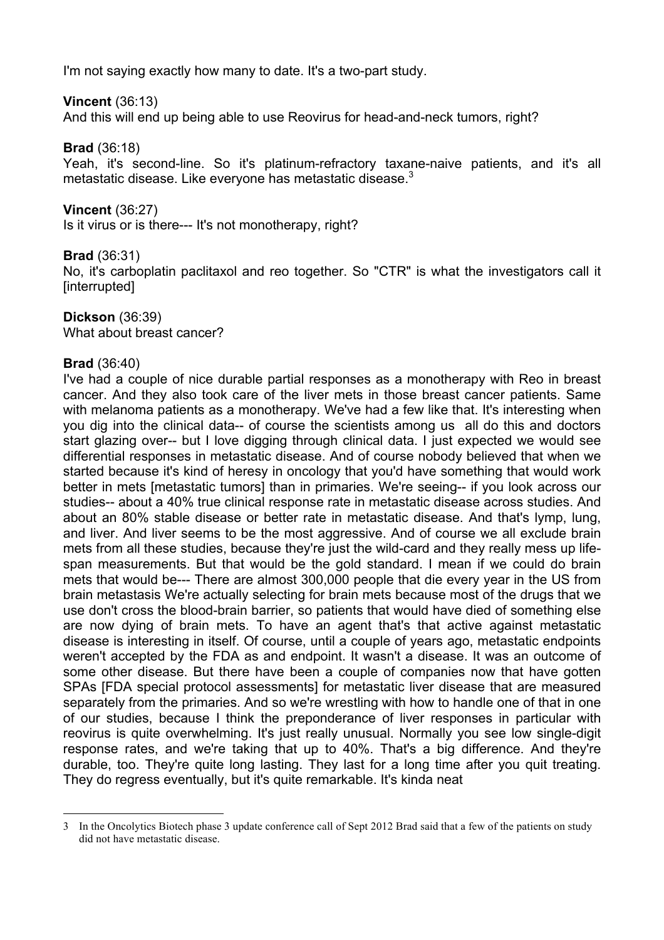I'm not saying exactly how many to date. It's a two-part study.

## **Vincent** (36:13)

And this will end up being able to use Reovirus for head-and-neck tumors, right?

#### **Brad** (36:18)

Yeah, it's second-line. So it's platinum-refractory taxane-naive patients, and it's all metastatic disease. Like everyone has metastatic disease.<sup>3</sup>

#### **Vincent** (36:27)

Is it virus or is there--- It's not monotherapy, right?

## **Brad** (36:31)

No, it's carboplatin paclitaxol and reo together. So "CTR" is what the investigators call it [interrupted]

#### **Dickson** (36:39)

What about breast cancer?

#### **Brad** (36:40)

I've had a couple of nice durable partial responses as a monotherapy with Reo in breast cancer. And they also took care of the liver mets in those breast cancer patients. Same with melanoma patients as a monotherapy. We've had a few like that. It's interesting when you dig into the clinical data-- of course the scientists among us all do this and doctors start glazing over-- but I love digging through clinical data. I just expected we would see differential responses in metastatic disease. And of course nobody believed that when we started because it's kind of heresy in oncology that you'd have something that would work better in mets [metastatic tumors] than in primaries. We're seeing-- if you look across our studies-- about a 40% true clinical response rate in metastatic disease across studies. And about an 80% stable disease or better rate in metastatic disease. And that's lymp, lung, and liver. And liver seems to be the most aggressive. And of course we all exclude brain mets from all these studies, because they're just the wild-card and they really mess up lifespan measurements. But that would be the gold standard. I mean if we could do brain mets that would be--- There are almost 300,000 people that die every year in the US from brain metastasis We're actually selecting for brain mets because most of the drugs that we use don't cross the blood-brain barrier, so patients that would have died of something else are now dying of brain mets. To have an agent that's that active against metastatic disease is interesting in itself. Of course, until a couple of years ago, metastatic endpoints weren't accepted by the FDA as and endpoint. It wasn't a disease. It was an outcome of some other disease. But there have been a couple of companies now that have gotten SPAs [FDA special protocol assessments] for metastatic liver disease that are measured separately from the primaries. And so we're wrestling with how to handle one of that in one of our studies, because I think the preponderance of liver responses in particular with reovirus is quite overwhelming. It's just really unusual. Normally you see low single-digit response rates, and we're taking that up to 40%. That's a big difference. And they're durable, too. They're quite long lasting. They last for a long time after you quit treating. They do regress eventually, but it's quite remarkable. It's kinda neat

 <sup>3</sup> In the Oncolytics Biotech phase 3 update conference call of Sept 2012 Brad said that a few of the patients on study did not have metastatic disease.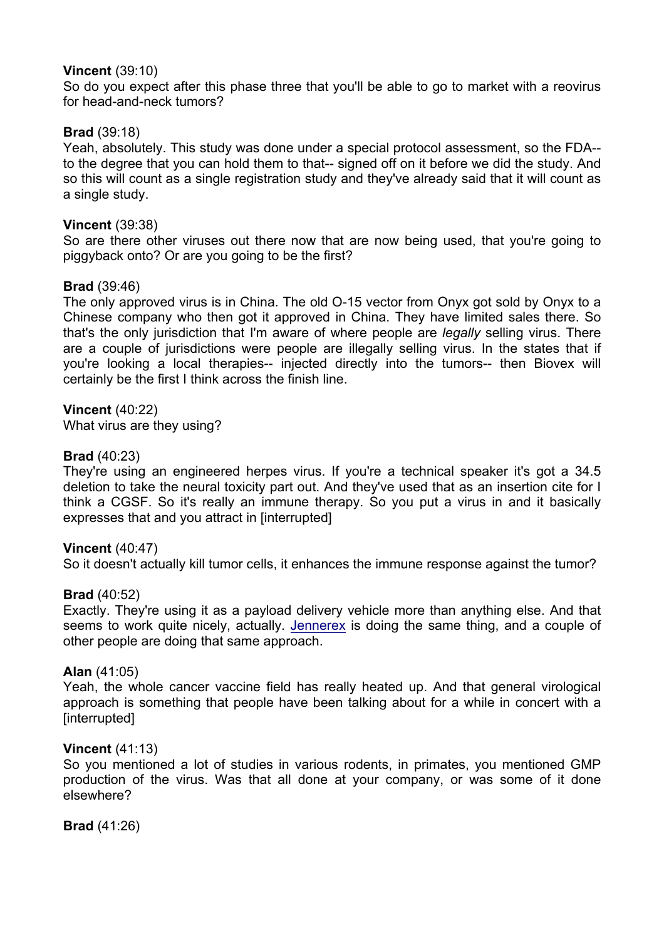## **Vincent** (39:10)

So do you expect after this phase three that you'll be able to go to market with a reovirus for head-and-neck tumors?

## **Brad** (39:18)

Yeah, absolutely. This study was done under a special protocol assessment, so the FDA- to the degree that you can hold them to that-- signed off on it before we did the study. And so this will count as a single registration study and they've already said that it will count as a single study.

#### **Vincent** (39:38)

So are there other viruses out there now that are now being used, that you're going to piggyback onto? Or are you going to be the first?

#### **Brad** (39:46)

The only approved virus is in China. The old O-15 vector from Onyx got sold by Onyx to a Chinese company who then got it approved in China. They have limited sales there. So that's the only jurisdiction that I'm aware of where people are *legally* selling virus. There are a couple of jurisdictions were people are illegally selling virus. In the states that if you're looking a local therapies-- injected directly into the tumors-- then Biovex will certainly be the first I think across the finish line.

#### **Vincent** (40:22)

What virus are they using?

#### **Brad** (40:23)

They're using an engineered herpes virus. If you're a technical speaker it's got a 34.5 deletion to take the neural toxicity part out. And they've used that as an insertion cite for I think a CGSF. So it's really an immune therapy. So you put a virus in and it basically expresses that and you attract in [interrupted]

#### **Vincent** (40:47)

So it doesn't actually kill tumor cells, it enhances the immune response against the tumor?

#### **Brad** (40:52)

Exactly. They're using it as a payload delivery vehicle more than anything else. And that seems to work quite nicely, actually. Jennerex is doing the same thing, and a couple of other people are doing that same approach.

#### **Alan** (41:05)

Yeah, the whole cancer vaccine field has really heated up. And that general virological approach is something that people have been talking about for a while in concert with a [interrupted]

#### **Vincent** (41:13)

So you mentioned a lot of studies in various rodents, in primates, you mentioned GMP production of the virus. Was that all done at your company, or was some of it done elsewhere?

**Brad** (41:26)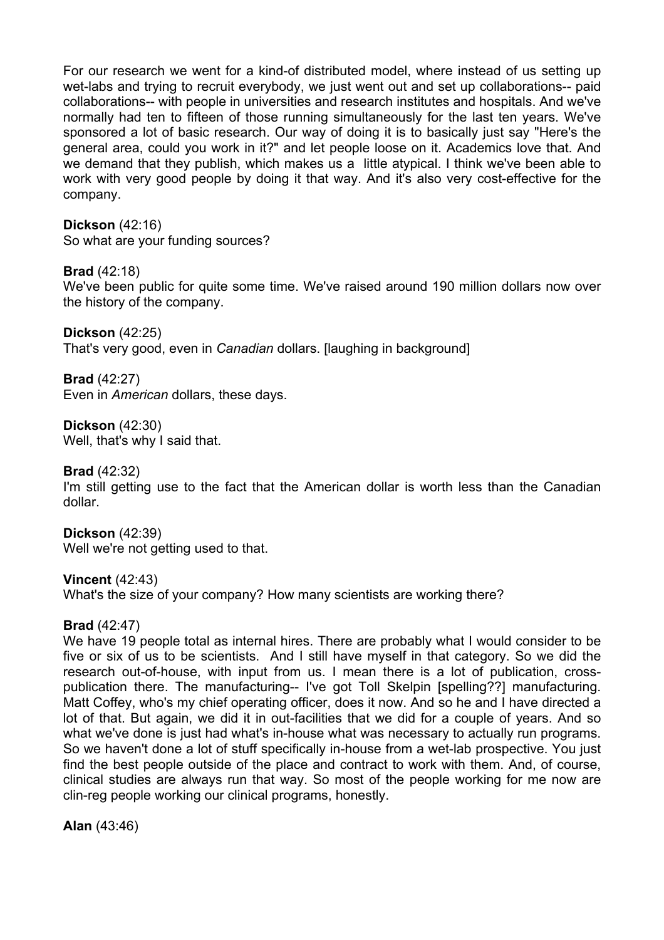For our research we went for a kind-of distributed model, where instead of us setting up wet-labs and trying to recruit everybody, we just went out and set up collaborations-- paid collaborations-- with people in universities and research institutes and hospitals. And we've normally had ten to fifteen of those running simultaneously for the last ten years. We've sponsored a lot of basic research. Our way of doing it is to basically just say "Here's the general area, could you work in it?" and let people loose on it. Academics love that. And we demand that they publish, which makes us a little atypical. I think we've been able to work with very good people by doing it that way. And it's also very cost-effective for the company.

## **Dickson** (42:16)

So what are your funding sources?

## **Brad** (42:18)

We've been public for quite some time. We've raised around 190 million dollars now over the history of the company.

**Dickson** (42:25) That's very good, even in *Canadian* dollars. [laughing in background]

**Brad** (42:27) Even in *American* dollars, these days.

**Dickson** (42:30) Well, that's why I said that.

**Brad** (42:32) I'm still getting use to the fact that the American dollar is worth less than the Canadian dollar.

**Dickson** (42:39) Well we're not getting used to that.

**Vincent** (42:43) What's the size of your company? How many scientists are working there?

#### **Brad** (42:47)

We have 19 people total as internal hires. There are probably what I would consider to be five or six of us to be scientists. And I still have myself in that category. So we did the research out-of-house, with input from us. I mean there is a lot of publication, crosspublication there. The manufacturing-- I've got Toll Skelpin [spelling??] manufacturing. Matt Coffey, who's my chief operating officer, does it now. And so he and I have directed a lot of that. But again, we did it in out-facilities that we did for a couple of years. And so what we've done is just had what's in-house what was necessary to actually run programs. So we haven't done a lot of stuff specifically in-house from a wet-lab prospective. You just find the best people outside of the place and contract to work with them. And, of course, clinical studies are always run that way. So most of the people working for me now are clin-reg people working our clinical programs, honestly.

**Alan** (43:46)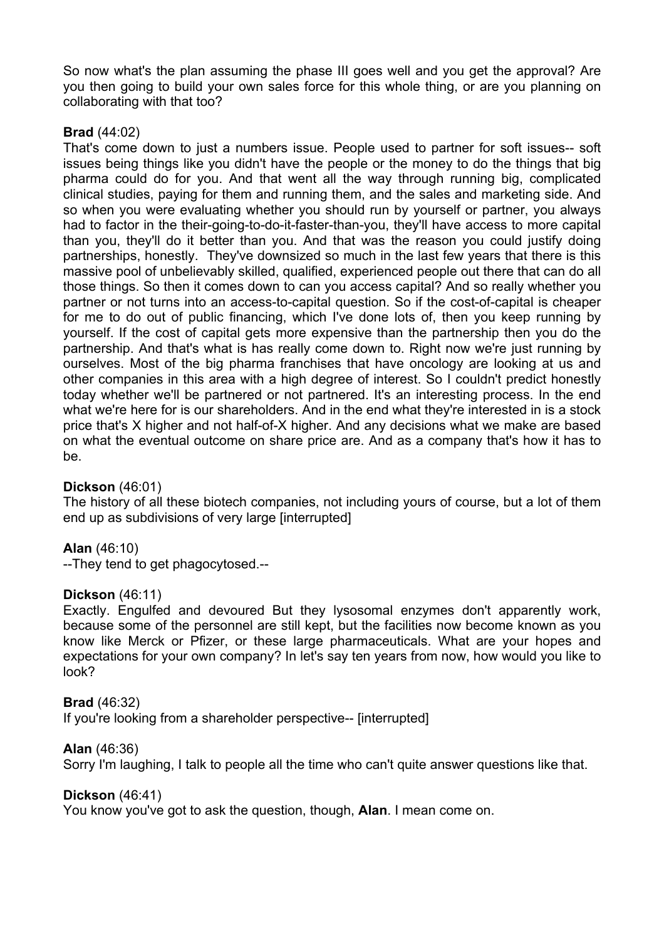So now what's the plan assuming the phase III goes well and you get the approval? Are you then going to build your own sales force for this whole thing, or are you planning on collaborating with that too?

## **Brad** (44:02)

That's come down to just a numbers issue. People used to partner for soft issues-- soft issues being things like you didn't have the people or the money to do the things that big pharma could do for you. And that went all the way through running big, complicated clinical studies, paying for them and running them, and the sales and marketing side. And so when you were evaluating whether you should run by yourself or partner, you always had to factor in the their-going-to-do-it-faster-than-you, they'll have access to more capital than you, they'll do it better than you. And that was the reason you could justify doing partnerships, honestly. They've downsized so much in the last few years that there is this massive pool of unbelievably skilled, qualified, experienced people out there that can do all those things. So then it comes down to can you access capital? And so really whether you partner or not turns into an access-to-capital question. So if the cost-of-capital is cheaper for me to do out of public financing, which I've done lots of, then you keep running by yourself. If the cost of capital gets more expensive than the partnership then you do the partnership. And that's what is has really come down to. Right now we're just running by ourselves. Most of the big pharma franchises that have oncology are looking at us and other companies in this area with a high degree of interest. So I couldn't predict honestly today whether we'll be partnered or not partnered. It's an interesting process. In the end what we're here for is our shareholders. And in the end what they're interested in is a stock price that's X higher and not half-of-X higher. And any decisions what we make are based on what the eventual outcome on share price are. And as a company that's how it has to be.

## **Dickson** (46:01)

The history of all these biotech companies, not including yours of course, but a lot of them end up as subdivisions of very large [interrupted]

## **Alan** (46:10)

--They tend to get phagocytosed.--

#### **Dickson** (46:11)

Exactly. Engulfed and devoured But they lysosomal enzymes don't apparently work, because some of the personnel are still kept, but the facilities now become known as you know like Merck or Pfizer, or these large pharmaceuticals. What are your hopes and expectations for your own company? In let's say ten years from now, how would you like to look?

#### **Brad** (46:32)

If you're looking from a shareholder perspective-- [interrupted]

#### **Alan** (46:36)

Sorry I'm laughing, I talk to people all the time who can't quite answer questions like that.

#### **Dickson** (46:41)

You know you've got to ask the question, though, **Alan**. I mean come on.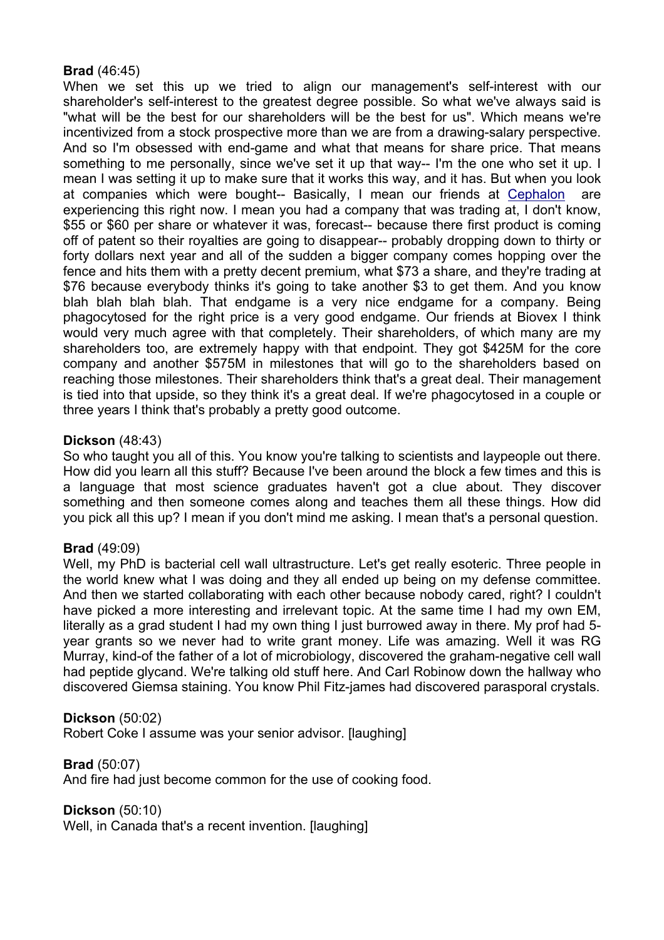## **Brad** (46:45)

When we set this up we tried to align our management's self-interest with our shareholder's self-interest to the greatest degree possible. So what we've always said is "what will be the best for our shareholders will be the best for us". Which means we're incentivized from a stock prospective more than we are from a drawing-salary perspective. And so I'm obsessed with end-game and what that means for share price. That means something to me personally, since we've set it up that way-- I'm the one who set it up. I mean I was setting it up to make sure that it works this way, and it has. But when you look at companies which were bought-- Basically, I mean our friends at Cephalon are experiencing this right now. I mean you had a company that was trading at, I don't know, \$55 or \$60 per share or whatever it was, forecast-- because there first product is coming off of patent so their royalties are going to disappear-- probably dropping down to thirty or forty dollars next year and all of the sudden a bigger company comes hopping over the fence and hits them with a pretty decent premium, what \$73 a share, and they're trading at \$76 because everybody thinks it's going to take another \$3 to get them. And you know blah blah blah blah. That endgame is a very nice endgame for a company. Being phagocytosed for the right price is a very good endgame. Our friends at Biovex I think would very much agree with that completely. Their shareholders, of which many are my shareholders too, are extremely happy with that endpoint. They got \$425M for the core company and another \$575M in milestones that will go to the shareholders based on reaching those milestones. Their shareholders think that's a great deal. Their management is tied into that upside, so they think it's a great deal. If we're phagocytosed in a couple or three years I think that's probably a pretty good outcome.

## **Dickson** (48:43)

So who taught you all of this. You know you're talking to scientists and laypeople out there. How did you learn all this stuff? Because I've been around the block a few times and this is a language that most science graduates haven't got a clue about. They discover something and then someone comes along and teaches them all these things. How did you pick all this up? I mean if you don't mind me asking. I mean that's a personal question.

#### **Brad** (49:09)

Well, my PhD is bacterial cell wall ultrastructure. Let's get really esoteric. Three people in the world knew what I was doing and they all ended up being on my defense committee. And then we started collaborating with each other because nobody cared, right? I couldn't have picked a more interesting and irrelevant topic. At the same time I had my own EM, literally as a grad student I had my own thing I just burrowed away in there. My prof had 5 year grants so we never had to write grant money. Life was amazing. Well it was RG Murray, kind-of the father of a lot of microbiology, discovered the graham-negative cell wall had peptide glycand. We're talking old stuff here. And Carl Robinow down the hallway who discovered Giemsa staining. You know Phil Fitz-james had discovered parasporal crystals.

#### **Dickson** (50:02)

Robert Coke I assume was your senior advisor. [laughing]

#### **Brad** (50:07)

And fire had just become common for the use of cooking food.

#### **Dickson** (50:10)

Well, in Canada that's a recent invention. Ilaughing l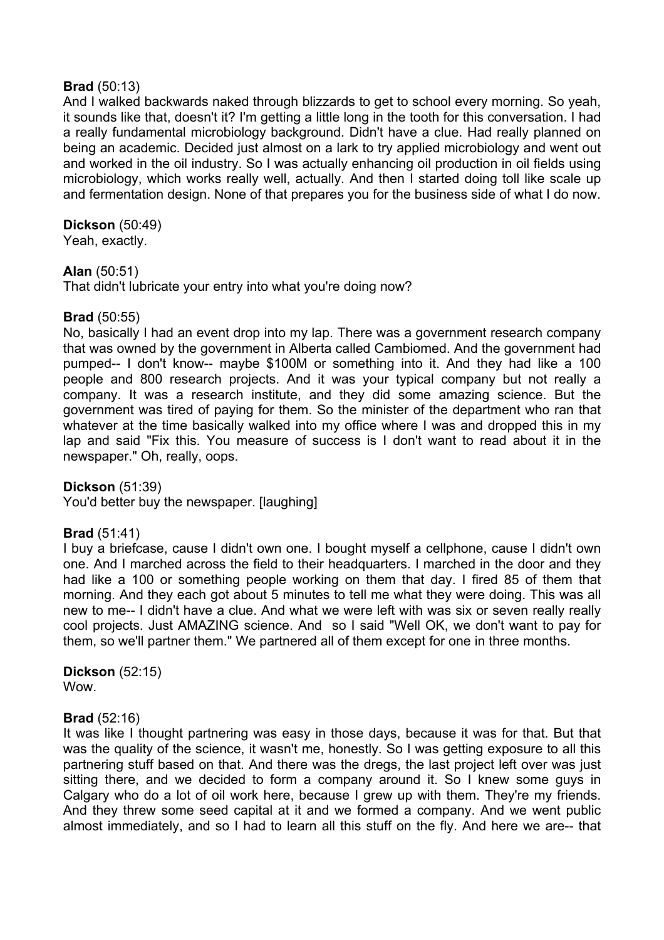## **Brad** (50:13)

And I walked backwards naked through blizzards to get to school every morning. So yeah, it sounds like that, doesn't it? I'm getting a little long in the tooth for this conversation. I had a really fundamental microbiology background. Didn't have a clue. Had really planned on being an academic. Decided just almost on a lark to try applied microbiology and went out and worked in the oil industry. So I was actually enhancing oil production in oil fields using microbiology, which works really well, actually. And then I started doing toll like scale up and fermentation design. None of that prepares you for the business side of what I do now.

## **Dickson** (50:49)

Yeah, exactly.

## **Alan** (50:51)

That didn't lubricate your entry into what you're doing now?

## **Brad** (50:55)

No, basically I had an event drop into my lap. There was a government research company that was owned by the government in Alberta called Cambiomed. And the government had pumped-- I don't know-- maybe \$100M or something into it. And they had like a 100 people and 800 research projects. And it was your typical company but not really a company. It was a research institute, and they did some amazing science. But the government was tired of paying for them. So the minister of the department who ran that whatever at the time basically walked into my office where I was and dropped this in my lap and said "Fix this. You measure of success is I don't want to read about it in the newspaper." Oh, really, oops.

**Dickson** (51:39) You'd better buy the newspaper. [laughing]

## **Brad** (51:41)

I buy a briefcase, cause I didn't own one. I bought myself a cellphone, cause I didn't own one. And I marched across the field to their headquarters. I marched in the door and they had like a 100 or something people working on them that day. I fired 85 of them that morning. And they each got about 5 minutes to tell me what they were doing. This was all new to me-- I didn't have a clue. And what we were left with was six or seven really really cool projects. Just AMAZING science. And so I said "Well OK, we don't want to pay for them, so we'll partner them." We partnered all of them except for one in three months.

**Dickson** (52:15) Wow.

## **Brad** (52:16)

It was like I thought partnering was easy in those days, because it was for that. But that was the quality of the science, it wasn't me, honestly. So I was getting exposure to all this partnering stuff based on that. And there was the dregs, the last project left over was just sitting there, and we decided to form a company around it. So I knew some guys in Calgary who do a lot of oil work here, because I grew up with them. They're my friends. And they threw some seed capital at it and we formed a company. And we went public almost immediately, and so I had to learn all this stuff on the fly. And here we are-- that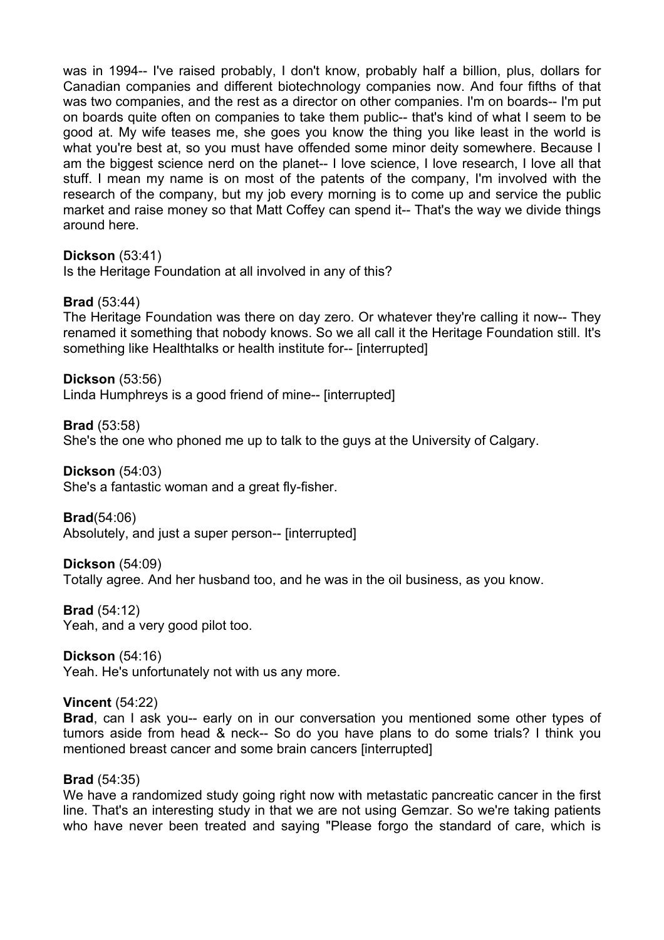was in 1994-- I've raised probably, I don't know, probably half a billion, plus, dollars for Canadian companies and different biotechnology companies now. And four fifths of that was two companies, and the rest as a director on other companies. I'm on boards-- I'm put on boards quite often on companies to take them public-- that's kind of what I seem to be good at. My wife teases me, she goes you know the thing you like least in the world is what you're best at, so you must have offended some minor deity somewhere. Because I am the biggest science nerd on the planet-- I love science, I love research, I love all that stuff. I mean my name is on most of the patents of the company, I'm involved with the research of the company, but my job every morning is to come up and service the public market and raise money so that Matt Coffey can spend it-- That's the way we divide things around here.

#### **Dickson** (53:41)

Is the Heritage Foundation at all involved in any of this?

#### **Brad** (53:44)

The Heritage Foundation was there on day zero. Or whatever they're calling it now-- They renamed it something that nobody knows. So we all call it the Heritage Foundation still. It's something like Healthtalks or health institute for-- [interrupted]

**Dickson** (53:56) Linda Humphreys is a good friend of mine-- [interrupted]

**Brad** (53:58) She's the one who phoned me up to talk to the guys at the University of Calgary.

**Dickson** (54:03)

She's a fantastic woman and a great fly-fisher.

**Brad**(54:06)

Absolutely, and just a super person-- [interrupted]

## **Dickson** (54:09)

Totally agree. And her husband too, and he was in the oil business, as you know.

**Brad** (54:12)

Yeah, and a very good pilot too.

**Dickson** (54:16) Yeah. He's unfortunately not with us any more.

#### **Vincent** (54:22)

**Brad**, can I ask you-- early on in our conversation you mentioned some other types of tumors aside from head & neck-- So do you have plans to do some trials? I think you mentioned breast cancer and some brain cancers [interrupted]

#### **Brad** (54:35)

We have a randomized study going right now with metastatic pancreatic cancer in the first line. That's an interesting study in that we are not using Gemzar. So we're taking patients who have never been treated and saying "Please forgo the standard of care, which is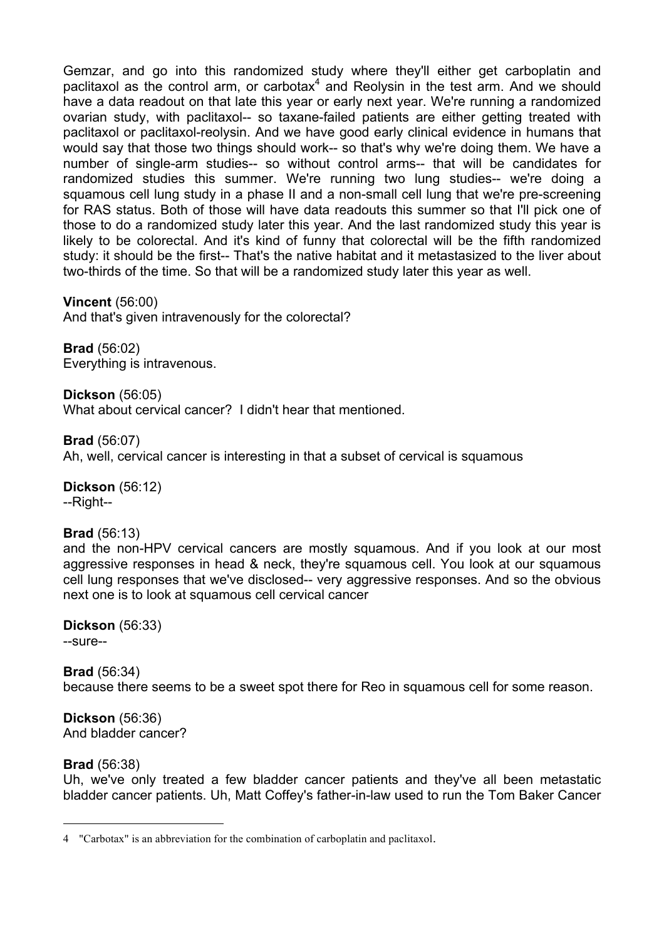Gemzar, and go into this randomized study where they'll either get carboplatin and paclitaxol as the control arm, or carbotax $4$  and Reolysin in the test arm. And we should have a data readout on that late this year or early next year. We're running a randomized ovarian study, with paclitaxol-- so taxane-failed patients are either getting treated with paclitaxol or paclitaxol-reolysin. And we have good early clinical evidence in humans that would say that those two things should work-- so that's why we're doing them. We have a number of single-arm studies-- so without control arms-- that will be candidates for randomized studies this summer. We're running two lung studies-- we're doing a squamous cell lung study in a phase II and a non-small cell lung that we're pre-screening for RAS status. Both of those will have data readouts this summer so that I'll pick one of those to do a randomized study later this year. And the last randomized study this year is likely to be colorectal. And it's kind of funny that colorectal will be the fifth randomized study: it should be the first-- That's the native habitat and it metastasized to the liver about two-thirds of the time. So that will be a randomized study later this year as well.

**Vincent** (56:00) And that's given intravenously for the colorectal?

**Brad** (56:02) Everything is intravenous.

**Dickson** (56:05) What about cervical cancer? I didn't hear that mentioned.

**Brad** (56:07) Ah, well, cervical cancer is interesting in that a subset of cervical is squamous

**Dickson** (56:12) --Right--

## **Brad** (56:13)

and the non-HPV cervical cancers are mostly squamous. And if you look at our most aggressive responses in head & neck, they're squamous cell. You look at our squamous cell lung responses that we've disclosed-- very aggressive responses. And so the obvious next one is to look at squamous cell cervical cancer

**Dickson** (56:33) --sure--

**Brad** (56:34) because there seems to be a sweet spot there for Reo in squamous cell for some reason.

**Dickson** (56:36) And bladder cancer?

## **Brad** (56:38)

 $\overline{a}$ 

Uh, we've only treated a few bladder cancer patients and they've all been metastatic bladder cancer patients. Uh, Matt Coffey's father-in-law used to run the Tom Baker Cancer

<sup>4</sup> "Carbotax" is an abbreviation for the combination of carboplatin and paclitaxol.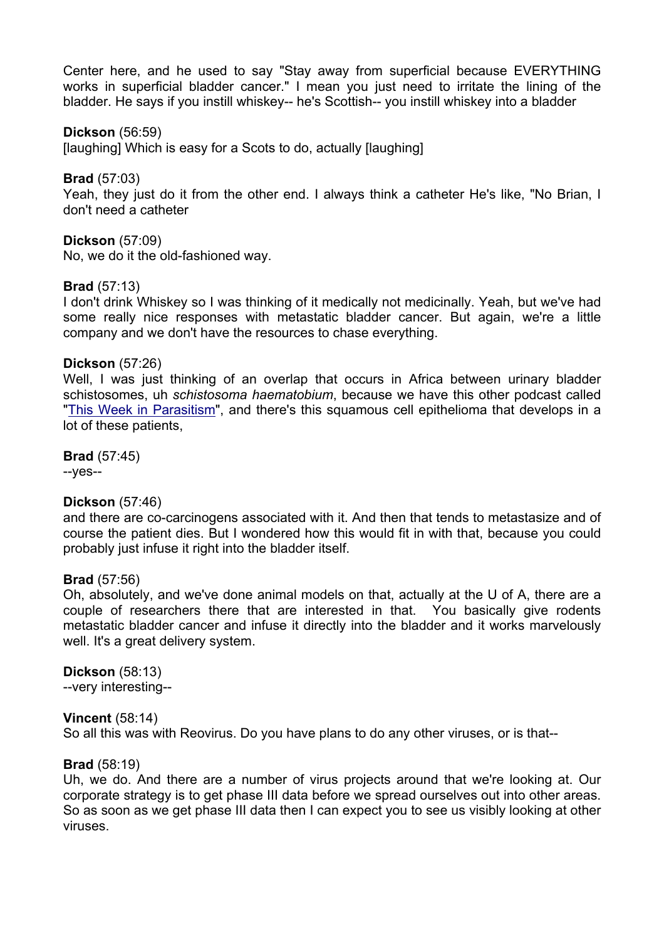Center here, and he used to say "Stay away from superficial because EVERYTHING works in superficial bladder cancer." I mean you just need to irritate the lining of the bladder. He says if you instill whiskey-- he's Scottish-- you instill whiskey into a bladder

#### **Dickson** (56:59)

[laughing] Which is easy for a Scots to do, actually [laughing]

**Brad** (57:03)

Yeah, they just do it from the other end. I always think a catheter He's like, "No Brian, I don't need a catheter

**Dickson** (57:09)

No, we do it the old-fashioned way.

#### **Brad** (57:13)

I don't drink Whiskey so I was thinking of it medically not medicinally. Yeah, but we've had some really nice responses with metastatic bladder cancer. But again, we're a little company and we don't have the resources to chase everything.

#### **Dickson** (57:26)

Well, I was just thinking of an overlap that occurs in Africa between urinary bladder schistosomes, uh *schistosoma haematobium*, because we have this other podcast called "This Week in Parasitism", and there's this squamous cell epithelioma that develops in a lot of these patients,

**Brad** (57:45) --yes--

#### **Dickson** (57:46)

and there are co-carcinogens associated with it. And then that tends to metastasize and of course the patient dies. But I wondered how this would fit in with that, because you could probably just infuse it right into the bladder itself.

#### **Brad** (57:56)

Oh, absolutely, and we've done animal models on that, actually at the U of A, there are a couple of researchers there that are interested in that. You basically give rodents metastatic bladder cancer and infuse it directly into the bladder and it works marvelously well. It's a great delivery system.

**Dickson** (58:13) --very interesting--

#### **Vincent** (58:14)

So all this was with Reovirus. Do you have plans to do any other viruses, or is that--

#### **Brad** (58:19)

Uh, we do. And there are a number of virus projects around that we're looking at. Our corporate strategy is to get phase III data before we spread ourselves out into other areas. So as soon as we get phase III data then I can expect you to see us visibly looking at other viruses.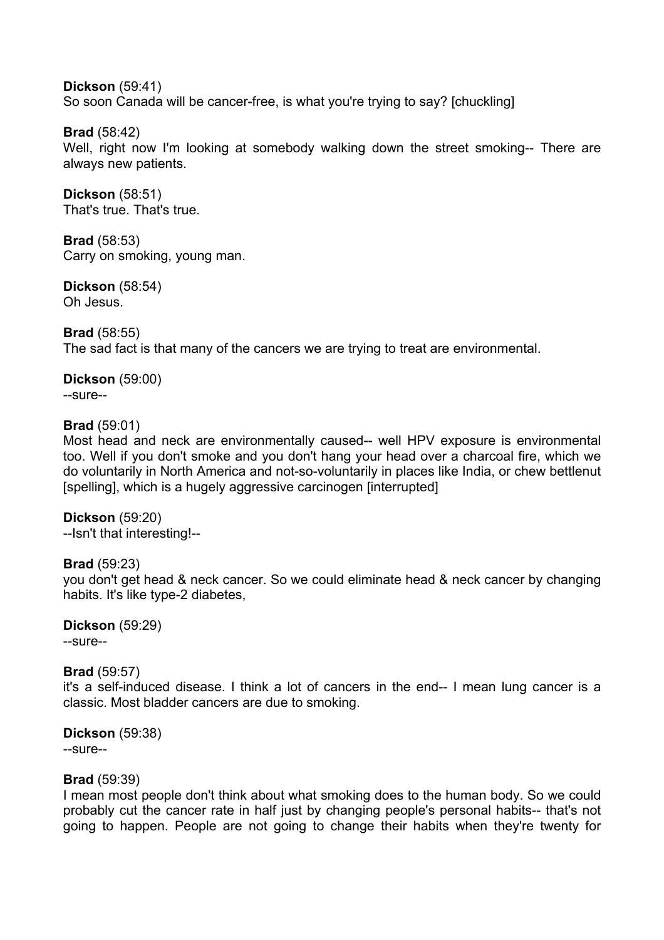**Dickson** (59:41) So soon Canada will be cancer-free, is what you're trying to say? [chuckling]

**Brad** (58:42) Well, right now I'm looking at somebody walking down the street smoking-- There are always new patients.

**Dickson** (58:51) That's true. That's true.

**Brad** (58:53) Carry on smoking, young man.

**Dickson** (58:54) Oh Jesus.

**Brad** (58:55) The sad fact is that many of the cancers we are trying to treat are environmental.

**Dickson** (59:00) --sure--

## **Brad** (59:01)

Most head and neck are environmentally caused-- well HPV exposure is environmental too. Well if you don't smoke and you don't hang your head over a charcoal fire, which we do voluntarily in North America and not-so-voluntarily in places like India, or chew bettlenut [spelling], which is a hugely aggressive carcinogen [interrupted]

**Dickson** (59:20) --Isn't that interesting!--

#### **Brad** (59:23)

you don't get head & neck cancer. So we could eliminate head & neck cancer by changing habits. It's like type-2 diabetes,

**Dickson** (59:29) --sure--

#### **Brad** (59:57)

it's a self-induced disease. I think a lot of cancers in the end-- I mean lung cancer is a classic. Most bladder cancers are due to smoking.

**Dickson** (59:38) --sure--

#### **Brad** (59:39)

I mean most people don't think about what smoking does to the human body. So we could probably cut the cancer rate in half just by changing people's personal habits-- that's not going to happen. People are not going to change their habits when they're twenty for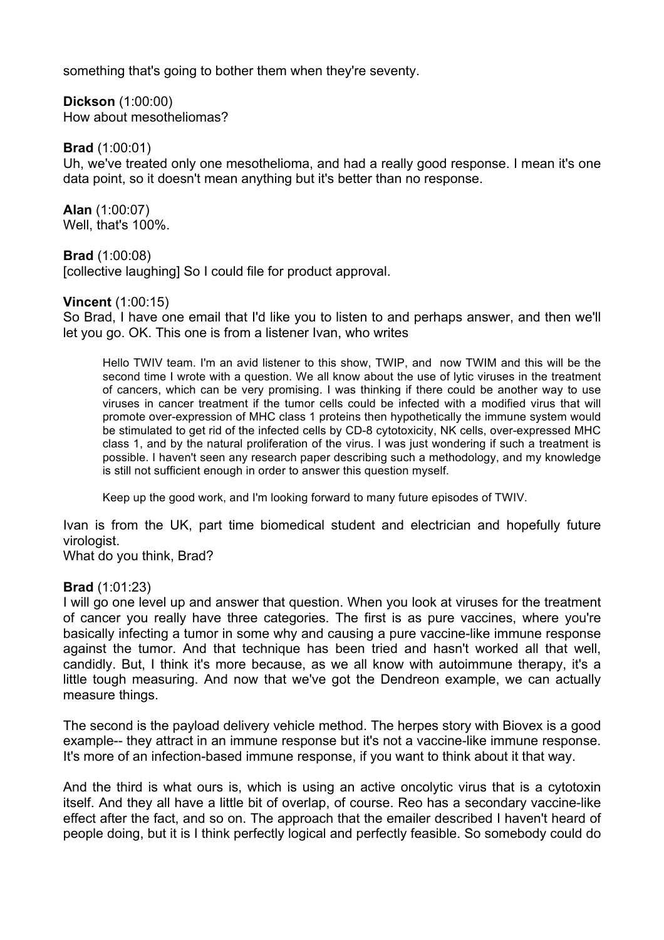something that's going to bother them when they're seventy.

**Dickson** (1:00:00) How about mesotheliomas?

**Brad** (1:00:01)

Uh, we've treated only one mesothelioma, and had a really good response. I mean it's one data point, so it doesn't mean anything but it's better than no response.

**Alan** (1:00:07) Well, that's 100%.

**Brad** (1:00:08)

[collective laughing] So I could file for product approval.

#### **Vincent** (1:00:15)

So Brad, I have one email that I'd like you to listen to and perhaps answer, and then we'll let you go. OK. This one is from a listener Ivan, who writes

Hello TWIV team. I'm an avid listener to this show, TWIP, and now TWIM and this will be the second time I wrote with a question. We all know about the use of lytic viruses in the treatment of cancers, which can be very promising. I was thinking if there could be another way to use viruses in cancer treatment if the tumor cells could be infected with a modified virus that will promote over-expression of MHC class 1 proteins then hypothetically the immune system would be stimulated to get rid of the infected cells by CD-8 cytotoxicity, NK cells, over-expressed MHC class 1, and by the natural proliferation of the virus. I was just wondering if such a treatment is possible. I haven't seen any research paper describing such a methodology, and my knowledge is still not sufficient enough in order to answer this question myself.

Keep up the good work, and I'm looking forward to many future episodes of TWIV.

Ivan is from the UK, part time biomedical student and electrician and hopefully future virologist.

What do you think, Brad?

#### **Brad** (1:01:23)

I will go one level up and answer that question. When you look at viruses for the treatment of cancer you really have three categories. The first is as pure vaccines, where you're basically infecting a tumor in some why and causing a pure vaccine-like immune response against the tumor. And that technique has been tried and hasn't worked all that well, candidly. But, I think it's more because, as we all know with autoimmune therapy, it's a little tough measuring. And now that we've got the Dendreon example, we can actually measure things.

The second is the payload delivery vehicle method. The herpes story with Biovex is a good example-- they attract in an immune response but it's not a vaccine-like immune response. It's more of an infection-based immune response, if you want to think about it that way.

And the third is what ours is, which is using an active oncolytic virus that is a cytotoxin itself. And they all have a little bit of overlap, of course. Reo has a secondary vaccine-like effect after the fact, and so on. The approach that the emailer described I haven't heard of people doing, but it is I think perfectly logical and perfectly feasible. So somebody could do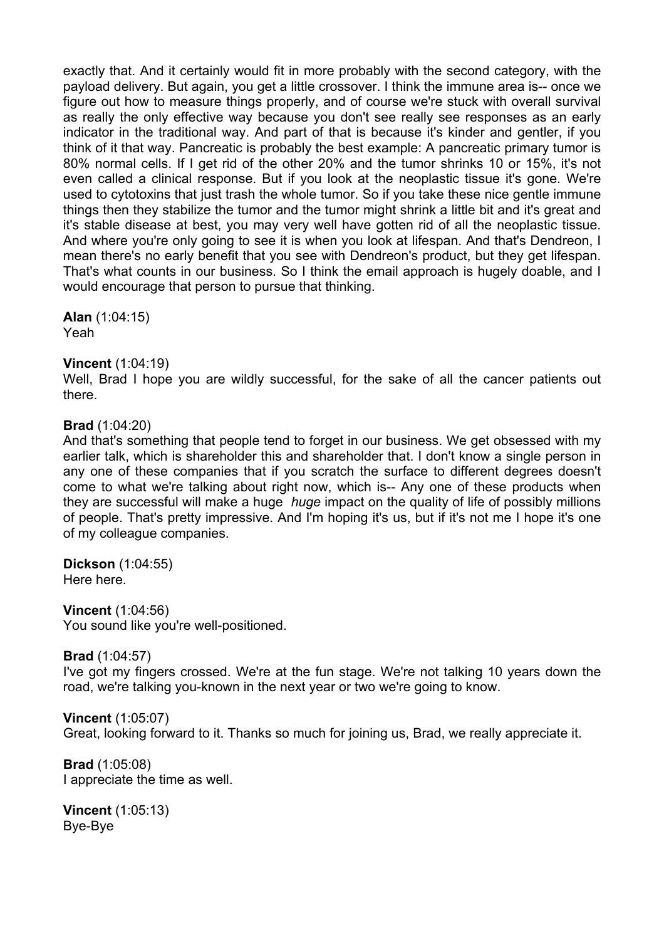exactly that. And it certainly would fit in more probably with the second category, with the payload delivery. But again, you get a little crossover. I think the immune area is-- once we figure out how to measure things properly, and of course we're stuck with overall survival as really the only effective way because you don't see really see responses as an early indicator in the traditional way. And part of that is because it's kinder and gentler, if you think of it that way. Pancreatic is probably the best example: A pancreatic primary tumor is 80% normal cells. If I get rid of the other 20% and the tumor shrinks 10 or 15%, it's not even called a clinical response. But if you look at the neoplastic tissue it's gone. We're used to cytotoxins that just trash the whole tumor. So if you take these nice gentle immune things then they stabilize the tumor and the tumor might shrink a little bit and it's great and it's stable disease at best, you may very well have gotten rid of all the neoplastic tissue. And where you're only going to see it is when you look at lifespan. And that's Dendreon, I mean there's no early benefit that you see with Dendreon's product, but they get lifespan. That's what counts in our business. So I think the email approach is hugely doable, and I would encourage that person to pursue that thinking.

**Alan** (1:04:15) Yeah

#### **Vincent** (1:04:19)

Well, Brad I hope you are wildly successful, for the sake of all the cancer patients out there.

#### **Brad** (1:04:20)

And that's something that people tend to forget in our business. We get obsessed with my earlier talk, which is shareholder this and shareholder that. I don't know a single person in any one of these companies that if you scratch the surface to different degrees doesn't come to what we're talking about right now, which is-- Any one of these products when they are successful will make a huge *huge* impact on the quality of life of possibly millions of people. That's pretty impressive. And I'm hoping it's us, but if it's not me I hope it's one of my colleague companies.

**Dickson** (1:04:55) Here here.

**Vincent** (1:04:56) You sound like you're well-positioned.

**Brad** (1:04:57)

I've got my fingers crossed. We're at the fun stage. We're not talking 10 years down the road, we're talking you-known in the next year or two we're going to know.

**Vincent** (1:05:07) Great, looking forward to it. Thanks so much for joining us, Brad, we really appreciate it.

**Brad** (1:05:08) I appreciate the time as well.

**Vincent** (1:05:13) Bye-Bye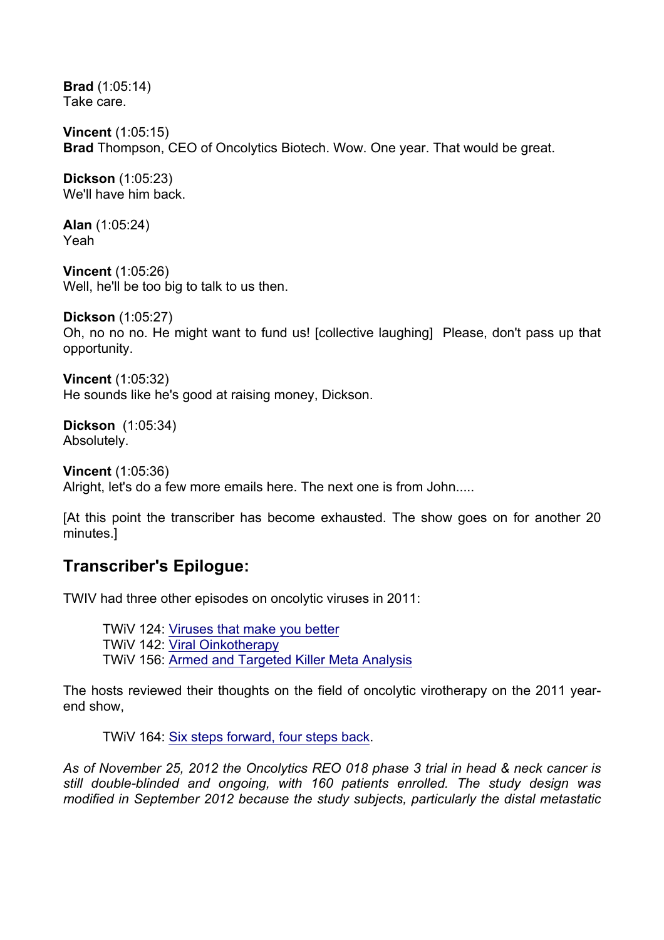**Brad** (1:05:14) Take care.

**Vincent** (1:05:15) **Brad** Thompson, CEO of Oncolytics Biotech. Wow. One year. That would be great.

**Dickson** (1:05:23) We'll have him back.

**Alan** (1:05:24) Yeah

**Vincent** (1:05:26) Well, he'll be too big to talk to us then.

**Dickson** (1:05:27)

Oh, no no no. He might want to fund us! [collective laughing] Please, don't pass up that opportunity.

**Vincent** (1:05:32) He sounds like he's good at raising money, Dickson.

**Dickson** (1:05:34) Absolutely.

**Vincent** (1:05:36) Alright, let's do a few more emails here. The next one is from John.....

[At this point the transcriber has become exhausted. The show goes on for another 20 minutes.]

# **Transcriber's Epilogue:**

TWIV had three other episodes on oncolytic viruses in 2011:

TWiV 124: Viruses that make you better TWiV 142: Viral Oinkotherapy TWiV 156: Armed and Targeted Killer Meta Analysis

The hosts reviewed their thoughts on the field of oncolytic virotherapy on the 2011 yearend show,

TWiV 164: Six steps forward, four steps back.

*As of November 25, 2012 the Oncolytics REO 018 phase 3 trial in head & neck cancer is still double-blinded and ongoing, with 160 patients enrolled. The study design was modified in September 2012 because the study subjects, particularly the distal metastatic*